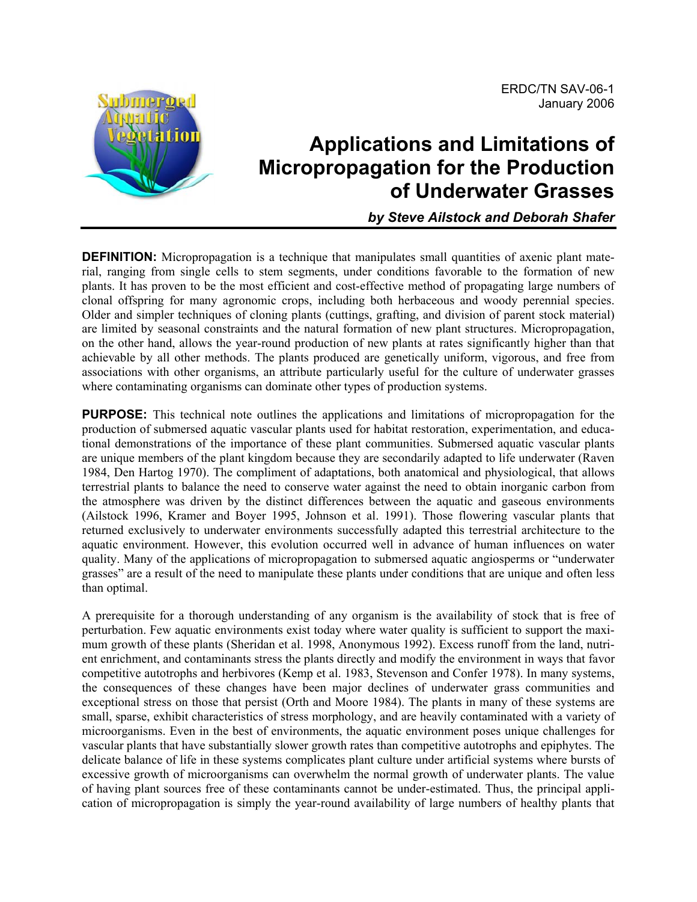

# **Applications and Limitations of Micropropagation for the Production of Underwater Grasses**

*by Steve Ailstock and Deborah Shafer* 

**DEFINITION:** Micropropagation is a technique that manipulates small quantities of axenic plant material, ranging from single cells to stem segments, under conditions favorable to the formation of new plants. It has proven to be the most efficient and cost-effective method of propagating large numbers of clonal offspring for many agronomic crops, including both herbaceous and woody perennial species. Older and simpler techniques of cloning plants (cuttings, grafting, and division of parent stock material) are limited by seasonal constraints and the natural formation of new plant structures. Micropropagation, on the other hand, allows the year-round production of new plants at rates significantly higher than that achievable by all other methods. The plants produced are genetically uniform, vigorous, and free from associations with other organisms, an attribute particularly useful for the culture of underwater grasses where contaminating organisms can dominate other types of production systems.

**PURPOSE:** This technical note outlines the applications and limitations of micropropagation for the production of submersed aquatic vascular plants used for habitat restoration, experimentation, and educational demonstrations of the importance of these plant communities. Submersed aquatic vascular plants are unique members of the plant kingdom because they are secondarily adapted to life underwater (Raven 1984, Den Hartog 1970). The compliment of adaptations, both anatomical and physiological, that allows terrestrial plants to balance the need to conserve water against the need to obtain inorganic carbon from the atmosphere was driven by the distinct differences between the aquatic and gaseous environments (Ailstock 1996, Kramer and Boyer 1995, Johnson et al. 1991). Those flowering vascular plants that returned exclusively to underwater environments successfully adapted this terrestrial architecture to the aquatic environment. However, this evolution occurred well in advance of human influences on water quality. Many of the applications of micropropagation to submersed aquatic angiosperms or "underwater grasses" are a result of the need to manipulate these plants under conditions that are unique and often less than optimal.

A prerequisite for a thorough understanding of any organism is the availability of stock that is free of perturbation. Few aquatic environments exist today where water quality is sufficient to support the maximum growth of these plants (Sheridan et al. 1998, Anonymous 1992). Excess runoff from the land, nutrient enrichment, and contaminants stress the plants directly and modify the environment in ways that favor competitive autotrophs and herbivores (Kemp et al. 1983, Stevenson and Confer 1978). In many systems, the consequences of these changes have been major declines of underwater grass communities and exceptional stress on those that persist (Orth and Moore 1984). The plants in many of these systems are small, sparse, exhibit characteristics of stress morphology, and are heavily contaminated with a variety of microorganisms. Even in the best of environments, the aquatic environment poses unique challenges for vascular plants that have substantially slower growth rates than competitive autotrophs and epiphytes. The delicate balance of life in these systems complicates plant culture under artificial systems where bursts of excessive growth of microorganisms can overwhelm the normal growth of underwater plants. The value of having plant sources free of these contaminants cannot be under-estimated. Thus, the principal application of micropropagation is simply the year-round availability of large numbers of healthy plants that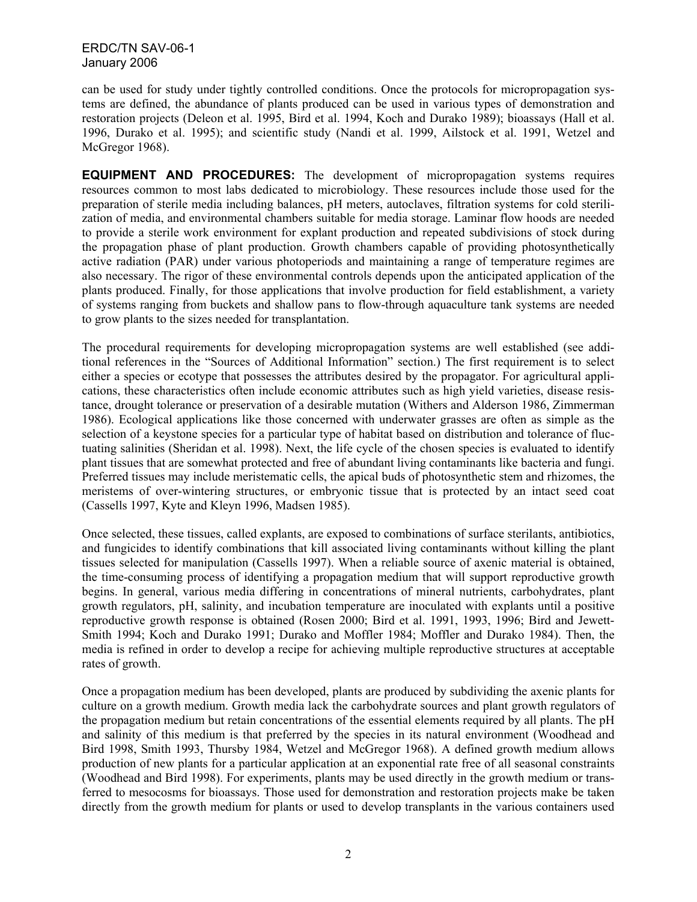can be used for study under tightly controlled conditions. Once the protocols for micropropagation systems are defined, the abundance of plants produced can be used in various types of demonstration and restoration projects (Deleon et al. 1995, Bird et al. 1994, Koch and Durako 1989); bioassays (Hall et al. 1996, Durako et al. 1995); and scientific study (Nandi et al. 1999, Ailstock et al. 1991, Wetzel and McGregor 1968).

**EQUIPMENT AND PROCEDURES:** The development of micropropagation systems requires resources common to most labs dedicated to microbiology. These resources include those used for the preparation of sterile media including balances, pH meters, autoclaves, filtration systems for cold sterilization of media, and environmental chambers suitable for media storage. Laminar flow hoods are needed to provide a sterile work environment for explant production and repeated subdivisions of stock during the propagation phase of plant production. Growth chambers capable of providing photosynthetically active radiation (PAR) under various photoperiods and maintaining a range of temperature regimes are also necessary. The rigor of these environmental controls depends upon the anticipated application of the plants produced. Finally, for those applications that involve production for field establishment, a variety of systems ranging from buckets and shallow pans to flow-through aquaculture tank systems are needed to grow plants to the sizes needed for transplantation.

The procedural requirements for developing micropropagation systems are well established (see additional references in the "Sources of Additional Information" section.) The first requirement is to select either a species or ecotype that possesses the attributes desired by the propagator. For agricultural applications, these characteristics often include economic attributes such as high yield varieties, disease resistance, drought tolerance or preservation of a desirable mutation (Withers and Alderson 1986, Zimmerman 1986). Ecological applications like those concerned with underwater grasses are often as simple as the selection of a keystone species for a particular type of habitat based on distribution and tolerance of fluctuating salinities (Sheridan et al. 1998). Next, the life cycle of the chosen species is evaluated to identify plant tissues that are somewhat protected and free of abundant living contaminants like bacteria and fungi. Preferred tissues may include meristematic cells, the apical buds of photosynthetic stem and rhizomes, the meristems of over-wintering structures, or embryonic tissue that is protected by an intact seed coat (Cassells 1997, Kyte and Kleyn 1996, Madsen 1985).

Once selected, these tissues, called explants, are exposed to combinations of surface sterilants, antibiotics, and fungicides to identify combinations that kill associated living contaminants without killing the plant tissues selected for manipulation (Cassells 1997). When a reliable source of axenic material is obtained, the time-consuming process of identifying a propagation medium that will support reproductive growth begins. In general, various media differing in concentrations of mineral nutrients, carbohydrates, plant growth regulators, pH, salinity, and incubation temperature are inoculated with explants until a positive reproductive growth response is obtained (Rosen 2000; Bird et al. 1991, 1993, 1996; Bird and Jewett-Smith 1994; Koch and Durako 1991; Durako and Moffler 1984; Moffler and Durako 1984). Then, the media is refined in order to develop a recipe for achieving multiple reproductive structures at acceptable rates of growth.

Once a propagation medium has been developed, plants are produced by subdividing the axenic plants for culture on a growth medium. Growth media lack the carbohydrate sources and plant growth regulators of the propagation medium but retain concentrations of the essential elements required by all plants. The pH and salinity of this medium is that preferred by the species in its natural environment (Woodhead and Bird 1998, Smith 1993, Thursby 1984, Wetzel and McGregor 1968). A defined growth medium allows production of new plants for a particular application at an exponential rate free of all seasonal constraints (Woodhead and Bird 1998). For experiments, plants may be used directly in the growth medium or transferred to mesocosms for bioassays. Those used for demonstration and restoration projects make be taken directly from the growth medium for plants or used to develop transplants in the various containers used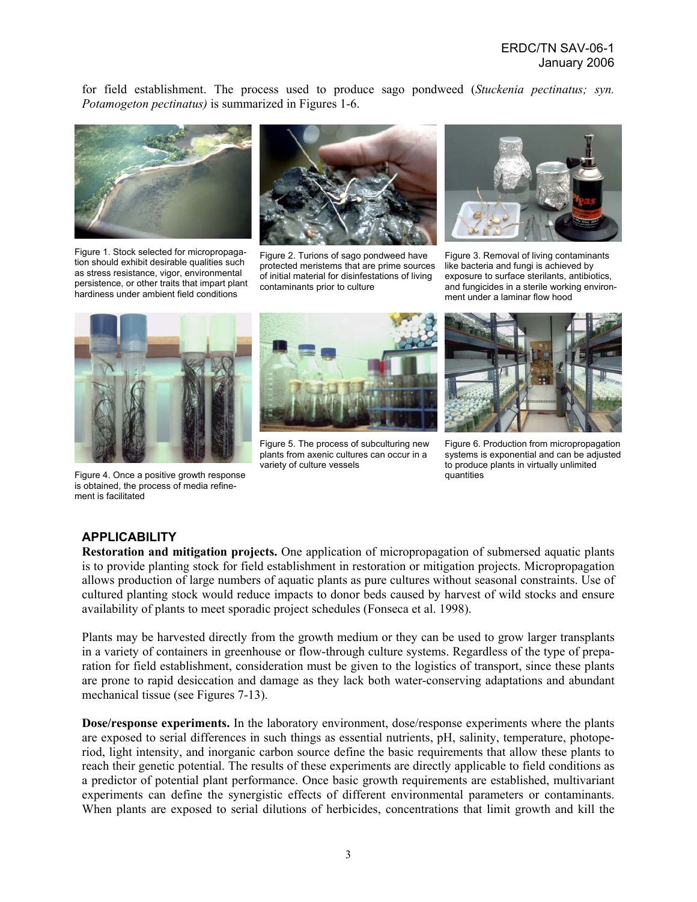for field establishment. The process used to produce sago pondweed (*Stuckenia pectinatus; syn. Potamogeton pectinatus)* is summarized in Figures 1-6.



Figure 1. Stock selected for micropropagation should exhibit desirable qualities such as stress resistance, vigor, environmental persistence, or other traits that impart plant hardiness under ambient field conditions



Figure 2. Turions of sago pondweed have protected meristems that are prime sources of initial material for disinfestations of living contaminants prior to culture



Figure 3. Removal of living contaminants like bacteria and fungi is achieved by exposure to surface sterilants, antibiotics, and fungicides in a sterile working environment under a laminar flow hood



Figure 4. Once a positive growth response is obtained, the process of media refinement is facilitated



Figure 5. The process of subculturing new plants from axenic cultures can occur in a variety of culture vessels



Figure 6. Production from micropropagation systems is exponential and can be adjusted to produce plants in virtually unlimited quantities

## **APPLICABILITY**

**Restoration and mitigation projects.** One application of micropropagation of submersed aquatic plants is to provide planting stock for field establishment in restoration or mitigation projects. Micropropagation allows production of large numbers of aquatic plants as pure cultures without seasonal constraints. Use of cultured planting stock would reduce impacts to donor beds caused by harvest of wild stocks and ensure availability of plants to meet sporadic project schedules (Fonseca et al. 1998).

Plants may be harvested directly from the growth medium or they can be used to grow larger transplants in a variety of containers in greenhouse or flow-through culture systems. Regardless of the type of preparation for field establishment, consideration must be given to the logistics of transport, since these plants are prone to rapid desiccation and damage as they lack both water-conserving adaptations and abundant mechanical tissue (see Figures 7-13).

**Dose/response experiments.** In the laboratory environment, dose/response experiments where the plants are exposed to serial differences in such things as essential nutrients, pH, salinity, temperature, photoperiod, light intensity, and inorganic carbon source define the basic requirements that allow these plants to reach their genetic potential. The results of these experiments are directly applicable to field conditions as a predictor of potential plant performance. Once basic growth requirements are established, multivariant experiments can define the synergistic effects of different environmental parameters or contaminants. When plants are exposed to serial dilutions of herbicides, concentrations that limit growth and kill the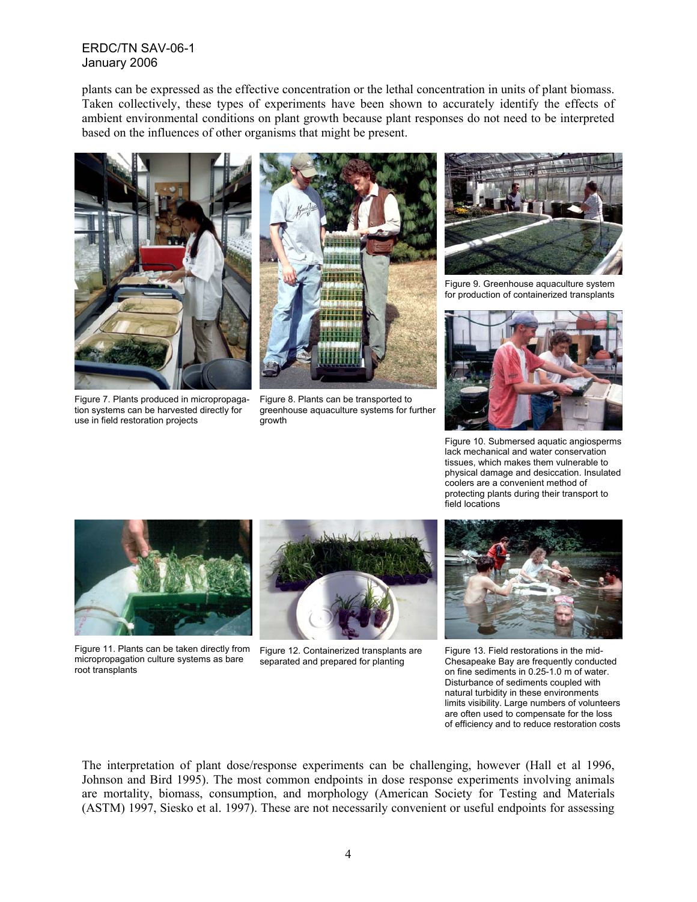plants can be expressed as the effective concentration or the lethal concentration in units of plant biomass. Taken collectively, these types of experiments have been shown to accurately identify the effects of ambient environmental conditions on plant growth because plant responses do not need to be interpreted based on the influences of other organisms that might be present.





Figure 7. Plants produced in micropropagation systems can be harvested directly for use in field restoration projects

Figure 8. Plants can be transported to greenhouse aquaculture systems for further growth



Figure 9. Greenhouse aquaculture system for production of containerized transplants



Figure 10. Submersed aquatic angiosperms lack mechanical and water conservation tissues, which makes them vulnerable to physical damage and desiccation. Insulated coolers are a convenient method of protecting plants during their transport to field locations



Figure 11. Plants can be taken directly from micropropagation culture systems as bare root transplants



Figure 12. Containerized transplants are separated and prepared for planting



Figure 13. Field restorations in the mid-Chesapeake Bay are frequently conducted on fine sediments in 0.25-1.0 m of water. Disturbance of sediments coupled with natural turbidity in these environments limits visibility. Large numbers of volunteers are often used to compensate for the loss of efficiency and to reduce restoration costs

The interpretation of plant dose/response experiments can be challenging, however (Hall et al 1996, Johnson and Bird 1995). The most common endpoints in dose response experiments involving animals are mortality, biomass, consumption, and morphology (American Society for Testing and Materials (ASTM) 1997, Siesko et al. 1997). These are not necessarily convenient or useful endpoints for assessing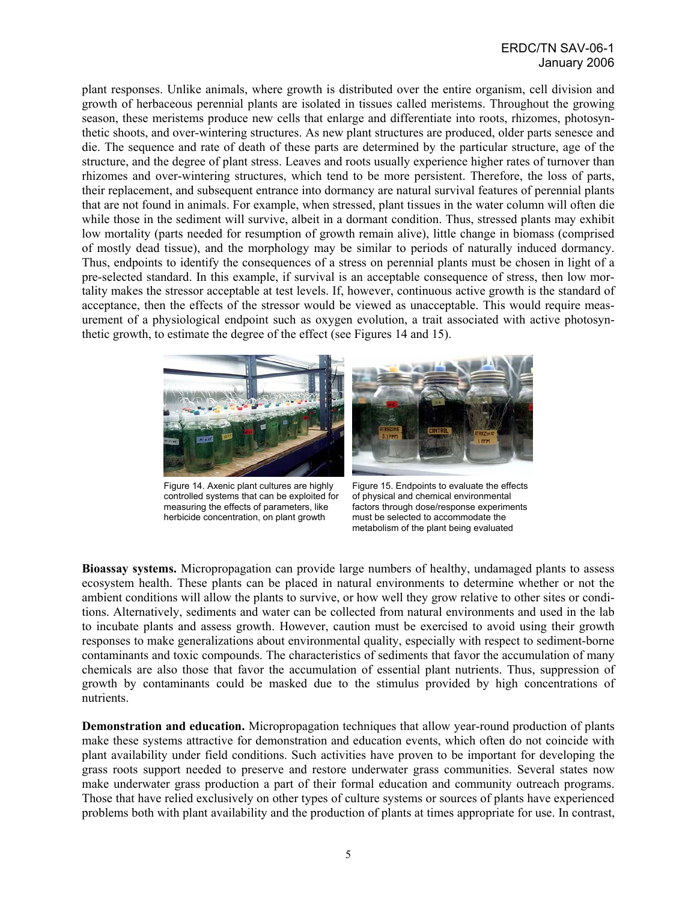plant responses. Unlike animals, where growth is distributed over the entire organism, cell division and growth of herbaceous perennial plants are isolated in tissues called meristems. Throughout the growing season, these meristems produce new cells that enlarge and differentiate into roots, rhizomes, photosynthetic shoots, and over-wintering structures. As new plant structures are produced, older parts senesce and die. The sequence and rate of death of these parts are determined by the particular structure, age of the structure, and the degree of plant stress. Leaves and roots usually experience higher rates of turnover than rhizomes and over-wintering structures, which tend to be more persistent. Therefore, the loss of parts, their replacement, and subsequent entrance into dormancy are natural survival features of perennial plants that are not found in animals. For example, when stressed, plant tissues in the water column will often die while those in the sediment will survive, albeit in a dormant condition. Thus, stressed plants may exhibit low mortality (parts needed for resumption of growth remain alive), little change in biomass (comprised of mostly dead tissue), and the morphology may be similar to periods of naturally induced dormancy. Thus, endpoints to identify the consequences of a stress on perennial plants must be chosen in light of a pre-selected standard. In this example, if survival is an acceptable consequence of stress, then low mortality makes the stressor acceptable at test levels. If, however, continuous active growth is the standard of acceptance, then the effects of the stressor would be viewed as unacceptable. This would require measurement of a physiological endpoint such as oxygen evolution, a trait associated with active photosynthetic growth, to estimate the degree of the effect (see Figures 14 and 15).



Figure 14. Axenic plant cultures are highly controlled systems that can be exploited for measuring the effects of parameters, like herbicide concentration, on plant growth

Figure 15. Endpoints to evaluate the effects of physical and chemical environmental factors through dose/response experiments must be selected to accommodate the metabolism of the plant being evaluated

**Bioassay systems.** Micropropagation can provide large numbers of healthy, undamaged plants to assess ecosystem health. These plants can be placed in natural environments to determine whether or not the ambient conditions will allow the plants to survive, or how well they grow relative to other sites or conditions. Alternatively, sediments and water can be collected from natural environments and used in the lab to incubate plants and assess growth. However, caution must be exercised to avoid using their growth responses to make generalizations about environmental quality, especially with respect to sediment-borne contaminants and toxic compounds. The characteristics of sediments that favor the accumulation of many chemicals are also those that favor the accumulation of essential plant nutrients. Thus, suppression of growth by contaminants could be masked due to the stimulus provided by high concentrations of nutrients.

**Demonstration and education.** Micropropagation techniques that allow year-round production of plants make these systems attractive for demonstration and education events, which often do not coincide with plant availability under field conditions. Such activities have proven to be important for developing the grass roots support needed to preserve and restore underwater grass communities. Several states now make underwater grass production a part of their formal education and community outreach programs. Those that have relied exclusively on other types of culture systems or sources of plants have experienced problems both with plant availability and the production of plants at times appropriate for use. In contrast,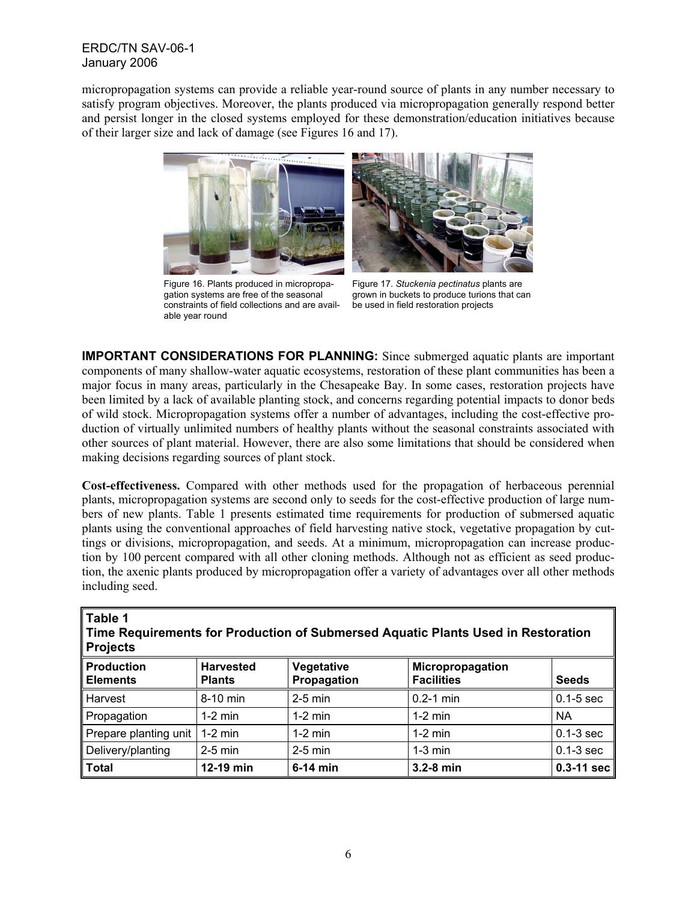micropropagation systems can provide a reliable year-round source of plants in any number necessary to satisfy program objectives. Moreover, the plants produced via micropropagation generally respond better and persist longer in the closed systems employed for these demonstration/education initiatives because of their larger size and lack of damage (see Figures 16 and 17).



Figure 16. Plants produced in micropropagation systems are free of the seasonal constraints of field collections and are available year round



Figure 17. *Stuckenia pectinatus* plants are grown in buckets to produce turions that can be used in field restoration projects

**IMPORTANT CONSIDERATIONS FOR PLANNING:** Since submerged aquatic plants are important components of many shallow-water aquatic ecosystems, restoration of these plant communities has been a major focus in many areas, particularly in the Chesapeake Bay. In some cases, restoration projects have been limited by a lack of available planting stock, and concerns regarding potential impacts to donor beds of wild stock. Micropropagation systems offer a number of advantages, including the cost-effective production of virtually unlimited numbers of healthy plants without the seasonal constraints associated with other sources of plant material. However, there are also some limitations that should be considered when making decisions regarding sources of plant stock.

**Cost-effectiveness.** Compared with other methods used for the propagation of herbaceous perennial plants, micropropagation systems are second only to seeds for the cost-effective production of large numbers of new plants. Table 1 presents estimated time requirements for production of submersed aquatic plants using the conventional approaches of field harvesting native stock, vegetative propagation by cuttings or divisions, micropropagation, and seeds. At a minimum, micropropagation can increase production by 100 percent compared with all other cloning methods. Although not as efficient as seed production, the axenic plants produced by micropropagation offer a variety of advantages over all other methods including seed.

| Table 1<br>Time Requirements for Production of Submersed Aquatic Plants Used in Restoration<br><b>Projects</b> |                                   |                           |                                       |               |
|----------------------------------------------------------------------------------------------------------------|-----------------------------------|---------------------------|---------------------------------------|---------------|
| <b>Production</b><br><b>Elements</b>                                                                           | <b>Harvested</b><br><b>Plants</b> | Vegetative<br>Propagation | Micropropagation<br><b>Facilities</b> | <b>Seeds</b>  |
| <b>Harvest</b>                                                                                                 | 8-10 min                          | $2-5$ min                 | $0.2 - 1$ min                         | $0.1 - 5$ sec |
| Propagation                                                                                                    | $1-2$ min                         | $1-2$ min                 | $1-2$ min                             | <b>NA</b>     |
| Prepare planting unit                                                                                          | $1-2$ min                         | $1-2$ min                 | $1-2$ min                             | $0.1-3$ sec   |
| Delivery/planting                                                                                              | $2-5$ min                         | $2-5$ min                 | $1-3$ min                             | $0.1-3$ sec   |
| <b>Total</b>                                                                                                   | 12-19 min                         | $6-14$ min                | 3.2-8 min                             | $0.3-11$ sec  |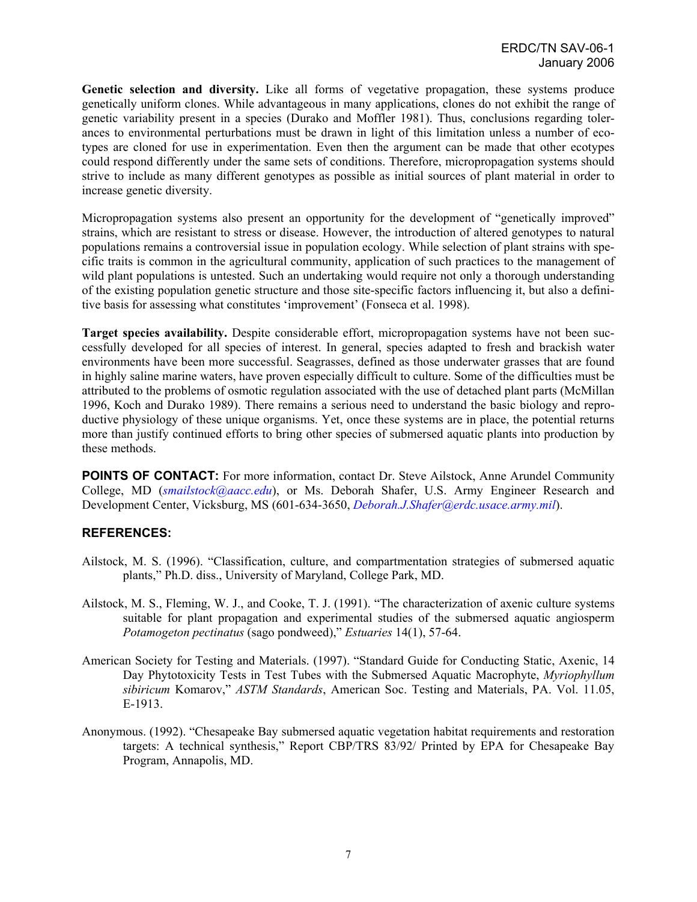**Genetic selection and diversity.** Like all forms of vegetative propagation, these systems produce genetically uniform clones. While advantageous in many applications, clones do not exhibit the range of genetic variability present in a species (Durako and Moffler 1981). Thus, conclusions regarding tolerances to environmental perturbations must be drawn in light of this limitation unless a number of ecotypes are cloned for use in experimentation. Even then the argument can be made that other ecotypes could respond differently under the same sets of conditions. Therefore, micropropagation systems should strive to include as many different genotypes as possible as initial sources of plant material in order to increase genetic diversity.

Micropropagation systems also present an opportunity for the development of "genetically improved" strains, which are resistant to stress or disease. However, the introduction of altered genotypes to natural populations remains a controversial issue in population ecology. While selection of plant strains with specific traits is common in the agricultural community, application of such practices to the management of wild plant populations is untested. Such an undertaking would require not only a thorough understanding of the existing population genetic structure and those site-specific factors influencing it, but also a definitive basis for assessing what constitutes 'improvement' (Fonseca et al. 1998).

**Target species availability.** Despite considerable effort, micropropagation systems have not been successfully developed for all species of interest. In general, species adapted to fresh and brackish water environments have been more successful. Seagrasses, defined as those underwater grasses that are found in highly saline marine waters, have proven especially difficult to culture. Some of the difficulties must be attributed to the problems of osmotic regulation associated with the use of detached plant parts (McMillan 1996, Koch and Durako 1989). There remains a serious need to understand the basic biology and reproductive physiology of these unique organisms. Yet, once these systems are in place, the potential returns more than justify continued efforts to bring other species of submersed aquatic plants into production by these methods.

**POINTS OF CONTACT:** For more information, contact Dr. Steve Ailstock, Anne Arundel Community College, MD (*smailstock@aacc.edu*), or Ms. Deborah Shafer, U.S. Army Engineer Research and Development Center, Vicksburg, MS (601-634-3650, *Deborah.J.Shafer@erdc.usace.army.mil*).

# **REFERENCES:**

- Ailstock, M. S. (1996). "Classification, culture, and compartmentation strategies of submersed aquatic plants," Ph.D. diss., University of Maryland, College Park, MD.
- Ailstock, M. S., Fleming, W. J., and Cooke, T. J. (1991). "The characterization of axenic culture systems suitable for plant propagation and experimental studies of the submersed aquatic angiosperm *Potamogeton pectinatus* (sago pondweed)," *Estuaries* 14(1), 57-64.
- American Society for Testing and Materials. (1997). "Standard Guide for Conducting Static, Axenic, 14 Day Phytotoxicity Tests in Test Tubes with the Submersed Aquatic Macrophyte, *Myriophyllum sibiricum* Komarov," *ASTM Standards*, American Soc. Testing and Materials, PA. Vol. 11.05, E-1913.
- Anonymous. (1992). "Chesapeake Bay submersed aquatic vegetation habitat requirements and restoration targets: A technical synthesis," Report CBP/TRS 83/92/ Printed by EPA for Chesapeake Bay Program, Annapolis, MD.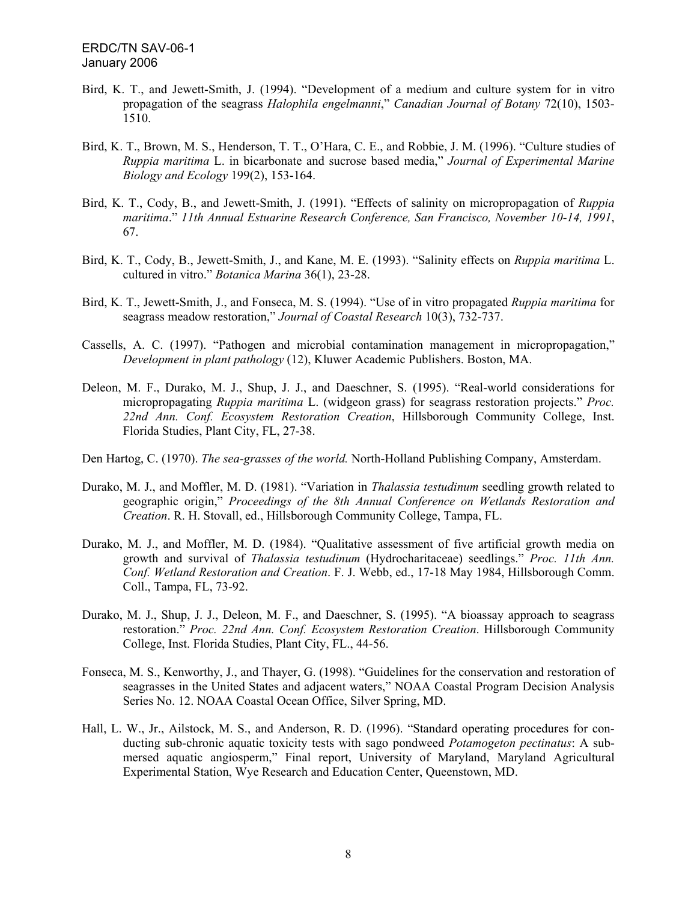- Bird, K. T., and Jewett-Smith, J. (1994). "Development of a medium and culture system for in vitro propagation of the seagrass *Halophila engelmanni*," *Canadian Journal of Botany* 72(10), 1503- 1510.
- Bird, K. T., Brown, M. S., Henderson, T. T., O'Hara, C. E., and Robbie, J. M. (1996). "Culture studies of *Ruppia maritima* L. in bicarbonate and sucrose based media," *Journal of Experimental Marine Biology and Ecology* 199(2), 153-164.
- Bird, K. T., Cody, B., and Jewett-Smith, J. (1991). "Effects of salinity on micropropagation of *Ruppia maritima*." *11th Annual Estuarine Research Conference, San Francisco, November 10-14, 1991*, 67.
- Bird, K. T., Cody, B., Jewett-Smith, J., and Kane, M. E. (1993). "Salinity effects on *Ruppia maritima* L. cultured in vitro." *Botanica Marina* 36(1), 23-28.
- Bird, K. T., Jewett-Smith, J., and Fonseca, M. S. (1994). "Use of in vitro propagated *Ruppia maritima* for seagrass meadow restoration," *Journal of Coastal Research* 10(3), 732-737.
- Cassells, A. C. (1997). "Pathogen and microbial contamination management in micropropagation," *Development in plant pathology* (12), Kluwer Academic Publishers. Boston, MA.
- Deleon, M. F., Durako, M. J., Shup, J. J., and Daeschner, S. (1995). "Real-world considerations for micropropagating *Ruppia maritima* L. (widgeon grass) for seagrass restoration projects." *Proc. 22nd Ann. Conf. Ecosystem Restoration Creation*, Hillsborough Community College, Inst. Florida Studies, Plant City, FL, 27-38.
- Den Hartog, C. (1970). *The sea-grasses of the world.* North-Holland Publishing Company, Amsterdam.
- Durako, M. J., and Moffler, M. D. (1981). "Variation in *Thalassia testudinum* seedling growth related to geographic origin," *Proceedings of the 8th Annual Conference on Wetlands Restoration and Creation*. R. H. Stovall, ed., Hillsborough Community College, Tampa, FL.
- Durako, M. J., and Moffler, M. D. (1984). "Qualitative assessment of five artificial growth media on growth and survival of *Thalassia testudinum* (Hydrocharitaceae) seedlings." *Proc. 11th Ann. Conf. Wetland Restoration and Creation*. F. J. Webb, ed., 17-18 May 1984, Hillsborough Comm. Coll., Tampa, FL, 73-92.
- Durako, M. J., Shup, J. J., Deleon, M. F., and Daeschner, S. (1995). "A bioassay approach to seagrass restoration." *Proc. 22nd Ann. Conf. Ecosystem Restoration Creation*. Hillsborough Community College, Inst. Florida Studies, Plant City, FL., 44-56.
- Fonseca, M. S., Kenworthy, J., and Thayer, G. (1998). "Guidelines for the conservation and restoration of seagrasses in the United States and adjacent waters," NOAA Coastal Program Decision Analysis Series No. 12. NOAA Coastal Ocean Office, Silver Spring, MD.
- Hall, L. W., Jr., Ailstock, M. S., and Anderson, R. D. (1996). "Standard operating procedures for conducting sub-chronic aquatic toxicity tests with sago pondweed *Potamogeton pectinatus*: A submersed aquatic angiosperm," Final report, University of Maryland, Maryland Agricultural Experimental Station, Wye Research and Education Center, Queenstown, MD.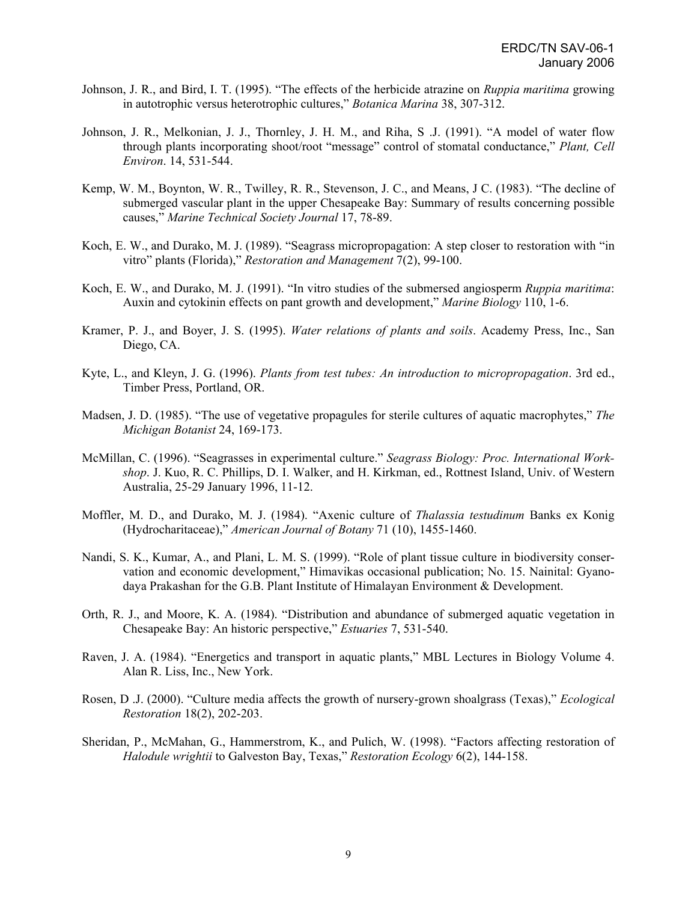- Johnson, J. R., and Bird, I. T. (1995). "The effects of the herbicide atrazine on *Ruppia maritima* growing in autotrophic versus heterotrophic cultures," *Botanica Marina* 38, 307-312.
- Johnson, J. R., Melkonian, J. J., Thornley, J. H. M., and Riha, S .J. (1991). "A model of water flow through plants incorporating shoot/root "message" control of stomatal conductance," *Plant, Cell Environ*. 14, 531-544.
- Kemp, W. M., Boynton, W. R., Twilley, R. R., Stevenson, J. C., and Means, J C. (1983). "The decline of submerged vascular plant in the upper Chesapeake Bay: Summary of results concerning possible causes," *Marine Technical Society Journal* 17, 78-89.
- Koch, E. W., and Durako, M. J. (1989). "Seagrass micropropagation: A step closer to restoration with "in vitro" plants (Florida)," *Restoration and Management* 7(2), 99-100.
- Koch, E. W., and Durako, M. J. (1991). "In vitro studies of the submersed angiosperm *Ruppia maritima*: Auxin and cytokinin effects on pant growth and development," *Marine Biology* 110, 1-6.
- Kramer, P. J., and Boyer, J. S. (1995). *Water relations of plants and soils*. Academy Press, Inc., San Diego, CA.
- Kyte, L., and Kleyn, J. G. (1996). *Plants from test tubes: An introduction to micropropagation*. 3rd ed., Timber Press, Portland, OR.
- Madsen, J. D. (1985). "The use of vegetative propagules for sterile cultures of aquatic macrophytes," *The Michigan Botanist* 24, 169-173.
- McMillan, C. (1996). "Seagrasses in experimental culture." *Seagrass Biology: Proc. International Workshop*. J. Kuo, R. C. Phillips, D. I. Walker, and H. Kirkman, ed., Rottnest Island, Univ. of Western Australia, 25-29 January 1996, 11-12.
- Moffler, M. D., and Durako, M. J. (1984). "Axenic culture of *Thalassia testudinum* Banks ex Konig (Hydrocharitaceae)," *American Journal of Botany* 71 (10), 1455-1460.
- Nandi, S. K., Kumar, A., and Plani, L. M. S. (1999). "Role of plant tissue culture in biodiversity conservation and economic development," Himavikas occasional publication; No. 15. Nainital: Gyanodaya Prakashan for the G.B. Plant Institute of Himalayan Environment & Development.
- Orth, R. J., and Moore, K. A. (1984). "Distribution and abundance of submerged aquatic vegetation in Chesapeake Bay: An historic perspective," *Estuaries* 7, 531-540.
- Raven, J. A. (1984). "Energetics and transport in aquatic plants," MBL Lectures in Biology Volume 4. Alan R. Liss, Inc., New York.
- Rosen, D .J. (2000). "Culture media affects the growth of nursery-grown shoalgrass (Texas)," *Ecological Restoration* 18(2), 202-203.
- Sheridan, P., McMahan, G., Hammerstrom, K., and Pulich, W. (1998). "Factors affecting restoration of *Halodule wrightii* to Galveston Bay, Texas," *Restoration Ecology* 6(2), 144-158.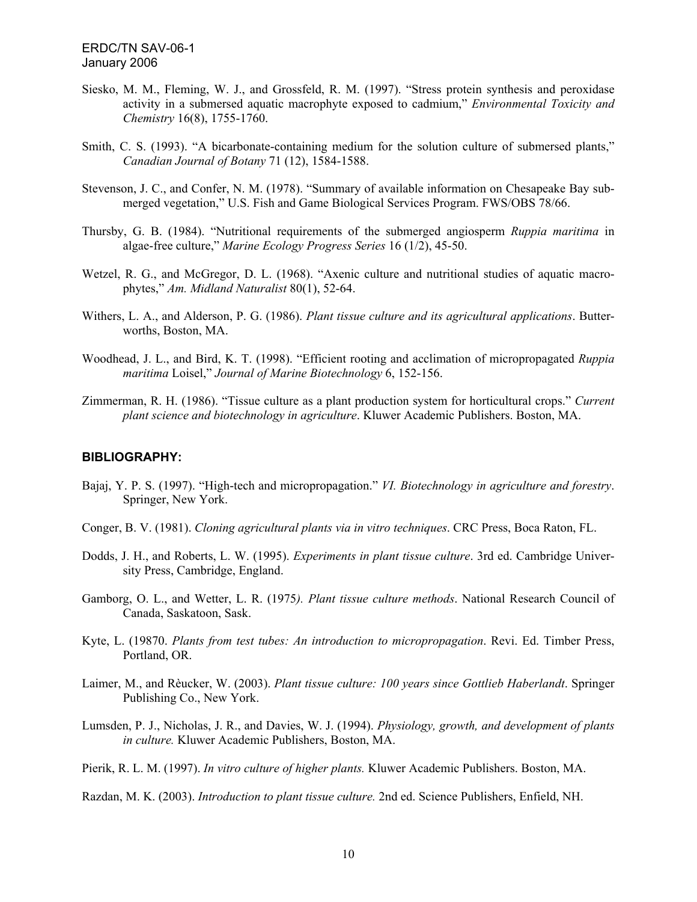- Siesko, M. M., Fleming, W. J., and Grossfeld, R. M. (1997). "Stress protein synthesis and peroxidase activity in a submersed aquatic macrophyte exposed to cadmium," *Environmental Toxicity and Chemistry* 16(8), 1755-1760.
- Smith, C. S. (1993). "A bicarbonate-containing medium for the solution culture of submersed plants," *Canadian Journal of Botany* 71 (12), 1584-1588.
- Stevenson, J. C., and Confer, N. M. (1978). "Summary of available information on Chesapeake Bay submerged vegetation," U.S. Fish and Game Biological Services Program. FWS/OBS 78/66.
- Thursby, G. B. (1984). "Nutritional requirements of the submerged angiosperm *Ruppia maritima* in algae-free culture," *Marine Ecology Progress Series* 16 (1/2), 45-50.
- Wetzel, R. G., and McGregor, D. L. (1968). "Axenic culture and nutritional studies of aquatic macrophytes," *Am. Midland Naturalist* 80(1), 52-64.
- Withers, L. A., and Alderson, P. G. (1986). *Plant tissue culture and its agricultural applications*. Butterworths, Boston, MA.
- Woodhead, J. L., and Bird, K. T. (1998). "Efficient rooting and acclimation of micropropagated *Ruppia maritima* Loisel," *Journal of Marine Biotechnology* 6, 152-156.
- Zimmerman, R. H. (1986). "Tissue culture as a plant production system for horticultural crops." *Current plant science and biotechnology in agriculture*. Kluwer Academic Publishers. Boston, MA.

## **BIBLIOGRAPHY:**

- Bajaj, Y. P. S. (1997). "High-tech and micropropagation." *VI. Biotechnology in agriculture and forestry*. Springer, New York.
- Conger, B. V. (1981). *Cloning agricultural plants via in vitro techniques*. CRC Press, Boca Raton, FL.
- Dodds, J. H., and Roberts, L. W. (1995). *Experiments in plant tissue culture*. 3rd ed. Cambridge University Press, Cambridge, England.
- Gamborg, O. L., and Wetter, L. R. (1975*). Plant tissue culture methods*. National Research Council of Canada, Saskatoon, Sask.
- Kyte, L. (19870. *Plants from test tubes: An introduction to micropropagation*. Revi. Ed. Timber Press, Portland, OR.
- Laimer, M., and Rèucker, W. (2003). *Plant tissue culture: 100 years since Gottlieb Haberlandt*. Springer Publishing Co., New York.
- Lumsden, P. J., Nicholas, J. R., and Davies, W. J. (1994). *Physiology, growth, and development of plants in culture.* Kluwer Academic Publishers, Boston, MA.
- Pierik, R. L. M. (1997). *In vitro culture of higher plants.* Kluwer Academic Publishers. Boston, MA.
- Razdan, M. K. (2003). *Introduction to plant tissue culture.* 2nd ed. Science Publishers, Enfield, NH.